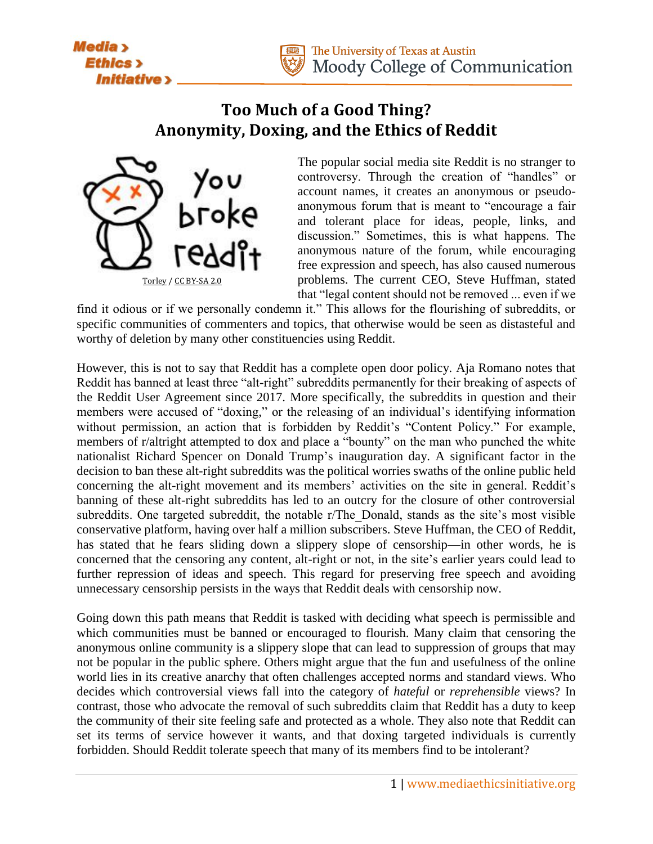



## **Too Much of a Good Thing? Anonymity, Doxing, and the Ethics of Reddit**



The popular social media site Reddit is no stranger to controversy. Through the creation of "handles" or account names, it creates an anonymous or pseudoanonymous forum that is meant to "encourage a fair and tolerant place for ideas, people, links, and discussion." Sometimes, this is what happens. The anonymous nature of the forum, while encouraging free expression and speech, has also caused numerous problems. The current CEO, Steve Huffman, stated that "legal content should not be removed ... even if we

find it odious or if we personally condemn it." This allows for the flourishing of subreddits, or specific communities of commenters and topics, that otherwise would be seen as distasteful and worthy of deletion by many other constituencies using Reddit.

However, this is not to say that Reddit has a complete open door policy. Aja Romano notes that Reddit has banned at least three "alt-right" subreddits permanently for their breaking of aspects of the Reddit User Agreement since 2017. More specifically, the subreddits in question and their members were accused of "doxing," or the releasing of an individual's identifying information without permission, an action that is forbidden by Reddit's "Content Policy." For example, members of r/altright attempted to dox and place a "bounty" on the man who punched the white nationalist Richard Spencer on Donald Trump's inauguration day. A significant factor in the decision to ban these alt-right subreddits was the political worries swaths of the online public held concerning the alt-right movement and its members' activities on the site in general. Reddit's banning of these alt-right subreddits has led to an outcry for the closure of other controversial subreddits. One targeted subreddit, the notable r/The\_Donald, stands as the site's most visible conservative platform, having over half a million subscribers. Steve Huffman, the CEO of Reddit, has stated that he fears sliding down a slippery slope of censorship—in other words, he is concerned that the censoring any content, alt-right or not, in the site's earlier years could lead to further repression of ideas and speech. This regard for preserving free speech and avoiding unnecessary censorship persists in the ways that Reddit deals with censorship now.

Going down this path means that Reddit is tasked with deciding what speech is permissible and which communities must be banned or encouraged to flourish. Many claim that censoring the anonymous online community is a slippery slope that can lead to suppression of groups that may not be popular in the public sphere. Others might argue that the fun and usefulness of the online world lies in its creative anarchy that often challenges accepted norms and standard views. Who decides which controversial views fall into the category of *hateful* or *reprehensible* views? In contrast, those who advocate the removal of such subreddits claim that Reddit has a duty to keep the community of their site feeling safe and protected as a whole. They also note that Reddit can set its terms of service however it wants, and that doxing targeted individuals is currently forbidden. Should Reddit tolerate speech that many of its members find to be intolerant?